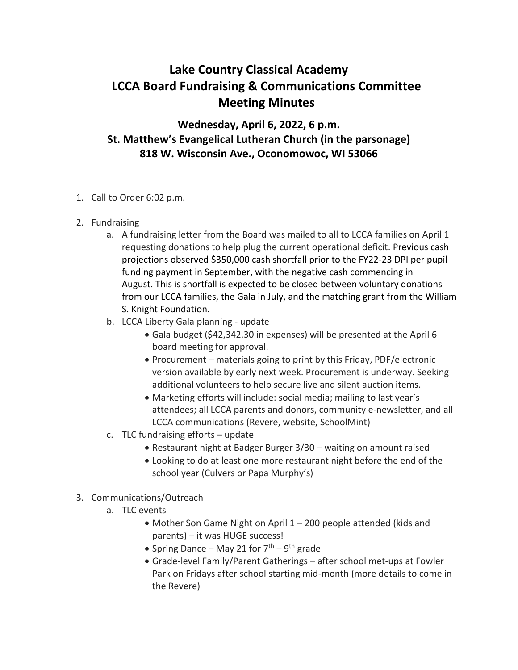## **Lake Country Classical Academy LCCA Board Fundraising & Communications Committee Meeting Minutes**

**Wednesday, April 6, 2022, 6 p.m. St. Matthew's Evangelical Lutheran Church (in the parsonage) 818 W. Wisconsin Ave., Oconomowoc, WI 53066**

- 1. Call to Order 6:02 p.m.
- 2. Fundraising
	- a. A fundraising letter from the Board was mailed to all to LCCA families on April 1 requesting donations to help plug the current operational deficit. Previous cash projections observed \$350,000 cash shortfall prior to the FY22-23 DPI per pupil funding payment in September, with the negative cash commencing in August. This is shortfall is expected to be closed between voluntary donations from our LCCA families, the Gala in July, and the matching grant from the William S. Knight Foundation.
	- b. LCCA Liberty Gala planning update
		- Gala budget (\$42,342.30 in expenses) will be presented at the April 6 board meeting for approval.
		- Procurement materials going to print by this Friday, PDF/electronic version available by early next week. Procurement is underway. Seeking additional volunteers to help secure live and silent auction items.
		- Marketing efforts will include: social media; mailing to last year's attendees; all LCCA parents and donors, community e-newsletter, and all LCCA communications (Revere, website, SchoolMint)
	- c. TLC fundraising efforts update
		- Restaurant night at Badger Burger 3/30 waiting on amount raised
		- Looking to do at least one more restaurant night before the end of the school year (Culvers or Papa Murphy's)
- 3. Communications/Outreach
	- a. TLC events
		- Mother Son Game Night on April 1 200 people attended (kids and parents) – it was HUGE success!
		- Spring Dance May 21 for  $7<sup>th</sup>$  9<sup>th</sup> grade
		- Grade-level Family/Parent Gatherings after school met-ups at Fowler Park on Fridays after school starting mid-month (more details to come in the Revere)